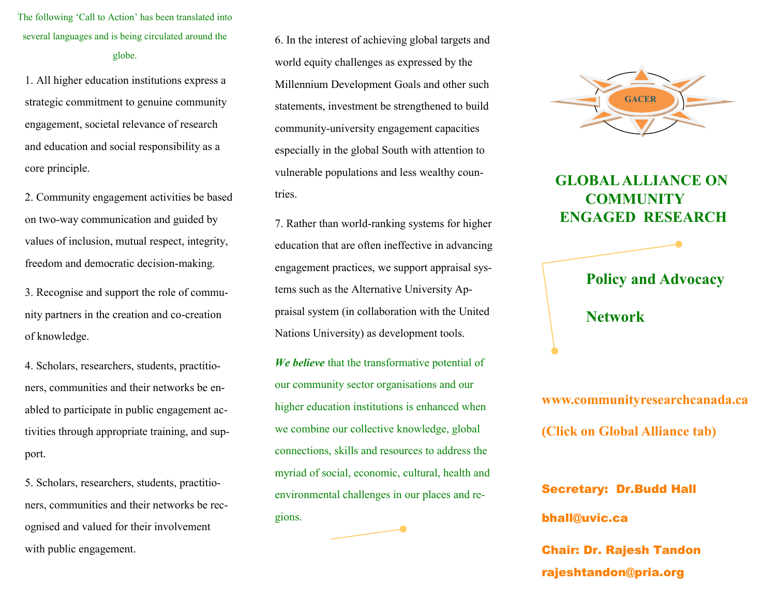The following 'Call to Action' has been translated into several languages and is being circulated around the globe.

1. All higher education institutions express a strategic commitment to genuine community engagement, societal relevance of research and education and social responsibility as a core principle.

2. Community engagement activities be based on two-way communication and guided by values of inclusion, mutual respect, integrity, freedom and democratic decision-making.

3. Recognise and support the role of community partners in the creation and co-creation of knowledge.

4. Scholars, researchers, students, practitioners, communities and their networks be enabled to participate in public engagement activities through appropriate training, and support.

5. Scholars, researchers, students, practitioners, communities and their networks be recognised and valued for their involvement with public engagement.

6. In the interest of achieving global targets and world equity challenges as expressed by the Millennium Development Goals and other such statements, investment be strengthened to build community-university engagement capacities especially in the global South with attention to vulnerable populations and less wealthy countries.

7. Rather than world-ranking systems for higher education that are often ineffective in advancing engagement practices, we support appraisal systems such as the Alternative University Appraisal system (in collaboration with the United Nations University) as development tools.

*We believe* that the transformative potential of our community sector organisations and our higher education institutions is enhanced when we combine our collective knowledge, global connections, skills and resources to address the myriad of social, economic, cultural, health and environmental challenges in our places and regions.



## **GLOBAL ALLIANCE ON COMMUNITY ENGAGED RESEARCH**



Secretary: Dr.Budd Hall bhall@uvic.ca Chair: Dr. Rajesh Tandon

rajeshtandon@pria.org